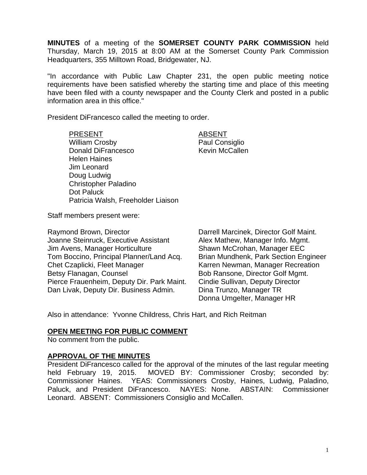**MINUTES** of a meeting of the **SOMERSET COUNTY PARK COMMISSION** held Thursday, March 19, 2015 at 8:00 AM at the Somerset County Park Commission Headquarters, 355 Milltown Road, Bridgewater, NJ.

"In accordance with Public Law Chapter 231, the open public meeting notice requirements have been satisfied whereby the starting time and place of this meeting have been filed with a county newspaper and the County Clerk and posted in a public information area in this office."

President DiFrancesco called the meeting to order.

PRESENT ABSENT William Crosby **Paul Consiglio** Donald DiFrancesco Kevin McCallen Helen Haines Jim Leonard Doug Ludwig Christopher Paladino Dot Paluck Patricia Walsh, Freeholder Liaison

Staff members present were:

Raymond Brown, Director **National Example 20** Darrell Marcinek, Director Golf Maint. Joanne Steinruck, Executive Assistant Alex Mathew, Manager Info. Mgmt. Jim Avens, Manager Horticulture Shawn McCrohan, Manager EEC Tom Boccino, Principal Planner/Land Acq. Brian Mundhenk, Park Section Engineer Chet Czaplicki, Fleet Manager Karren Newman, Manager Recreation Betsy Flanagan, Counsel **Bob Ransone, Director Golf Mgmt.** Pierce Frauenheim, Deputy Dir. Park Maint. Cindie Sullivan, Deputy Director Dan Livak, Deputy Dir. Business Admin. Dina Trunzo, Manager TR

Donna Umgelter, Manager HR

Also in attendance: Yvonne Childress, Chris Hart, and Rich Reitman

### **OPEN MEETING FOR PUBLIC COMMENT**

No comment from the public.

### **APPROVAL OF THE MINUTES**

President DiFrancesco called for the approval of the minutes of the last regular meeting held February 19, 2015. MOVED BY: Commissioner Crosby; seconded by: Commissioner Haines. YEAS: Commissioners Crosby, Haines, Ludwig, Paladino, Paluck, and President DiFrancesco. NAYES: None. ABSTAIN: Commissioner Leonard. ABSENT: Commissioners Consiglio and McCallen.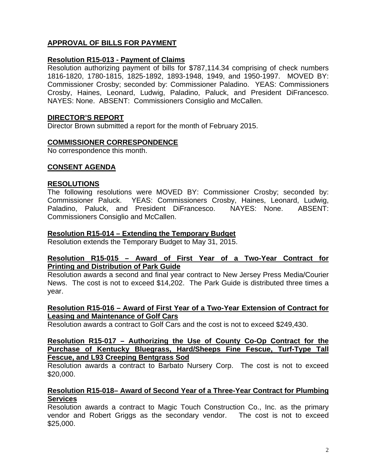# **APPROVAL OF BILLS FOR PAYMENT**

# **Resolution R15-013 - Payment of Claims**

Resolution authorizing payment of bills for \$787,114.34 comprising of check numbers 1816-1820, 1780-1815, 1825-1892, 1893-1948, 1949, and 1950-1997. MOVED BY: Commissioner Crosby; seconded by: Commissioner Paladino. YEAS: Commissioners Crosby, Haines, Leonard, Ludwig, Paladino, Paluck, and President DiFrancesco. NAYES: None. ABSENT: Commissioners Consiglio and McCallen.

### **DIRECTOR'S REPORT**

Director Brown submitted a report for the month of February 2015.

### **COMMISSIONER CORRESPONDENCE**

No correspondence this month.

### **CONSENT AGENDA**

#### **RESOLUTIONS**

The following resolutions were MOVED BY: Commissioner Crosby; seconded by: Commissioner Paluck. YEAS: Commissioners Crosby, Haines, Leonard, Ludwig, Paladino, Paluck, and President DiFrancesco. NAYES: None. ABSENT: Commissioners Consiglio and McCallen.

#### **Resolution R15-014 – Extending the Temporary Budget**

Resolution extends the Temporary Budget to May 31, 2015.

### **Resolution R15-015 – Award of First Year of a Two-Year Contract for Printing and Distribution of Park Guide**

Resolution awards a second and final year contract to New Jersey Press Media/Courier News. The cost is not to exceed \$14,202. The Park Guide is distributed three times a year.

### **Resolution R15-016 – Award of First Year of a Two-Year Extension of Contract for Leasing and Maintenance of Golf Cars**

Resolution awards a contract to Golf Cars and the cost is not to exceed \$249,430.

#### **Resolution R15-017 – Authorizing the Use of County Co-Op Contract for the Purchase of Kentucky Bluegrass, Hard/Sheeps Fine Fescue, Turf-Type Tall Fescue, and L93 Creeping Bentgrass Sod**

Resolution awards a contract to Barbato Nursery Corp. The cost is not to exceed \$20,000.

### **Resolution R15-018– Award of Second Year of a Three-Year Contract for Plumbing Services**

Resolution awards a contract to Magic Touch Construction Co., Inc. as the primary vendor and Robert Griggs as the secondary vendor. The cost is not to exceed \$25,000.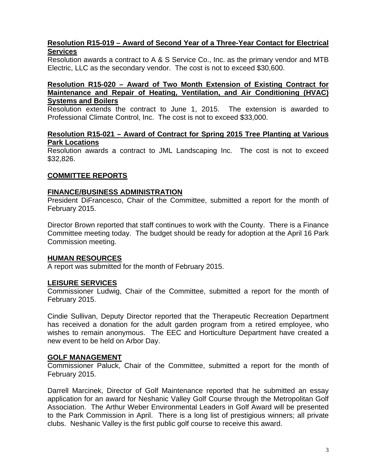# **Resolution R15-019 – Award of Second Year of a Three-Year Contact for Electrical Services**

Resolution awards a contract to A & S Service Co., Inc. as the primary vendor and MTB Electric, LLC as the secondary vendor. The cost is not to exceed \$30,600.

### **Resolution R15-020 – Award of Two Month Extension of Existing Contract for Maintenance and Repair of Heating, Ventilation, and Air Conditioning (HVAC) Systems and Boilers**

Resolution extends the contract to June 1, 2015. The extension is awarded to Professional Climate Control, Inc. The cost is not to exceed \$33,000.

#### **Resolution R15-021 – Award of Contract for Spring 2015 Tree Planting at Various Park Locations**

Resolution awards a contract to JML Landscaping Inc. The cost is not to exceed \$32,826.

# **COMMITTEE REPORTS**

#### **FINANCE/BUSINESS ADMINISTRATION**

President DiFrancesco, Chair of the Committee, submitted a report for the month of February 2015.

Director Brown reported that staff continues to work with the County. There is a Finance Committee meeting today. The budget should be ready for adoption at the April 16 Park Commission meeting.

### **HUMAN RESOURCES**

A report was submitted for the month of February 2015.

### **LEISURE SERVICES**

Commissioner Ludwig, Chair of the Committee, submitted a report for the month of February 2015.

Cindie Sullivan, Deputy Director reported that the Therapeutic Recreation Department has received a donation for the adult garden program from a retired employee, who wishes to remain anonymous. The EEC and Horticulture Department have created a new event to be held on Arbor Day.

#### **GOLF MANAGEMENT**

Commissioner Paluck, Chair of the Committee, submitted a report for the month of February 2015.

Darrell Marcinek, Director of Golf Maintenance reported that he submitted an essay application for an award for Neshanic Valley Golf Course through the Metropolitan Golf Association. The Arthur Weber Environmental Leaders in Golf Award will be presented to the Park Commission in April. There is a long list of prestigious winners; all private clubs. Neshanic Valley is the first public golf course to receive this award.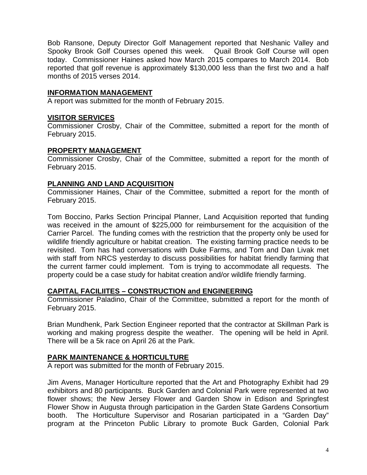Bob Ransone, Deputy Director Golf Management reported that Neshanic Valley and Spooky Brook Golf Courses opened this week. Quail Brook Golf Course will open today. Commissioner Haines asked how March 2015 compares to March 2014. Bob reported that golf revenue is approximately \$130,000 less than the first two and a half months of 2015 verses 2014.

#### **INFORMATION MANAGEMENT**

A report was submitted for the month of February 2015.

### **VISITOR SERVICES**

Commissioner Crosby, Chair of the Committee, submitted a report for the month of February 2015.

#### **PROPERTY MANAGEMENT**

Commissioner Crosby, Chair of the Committee, submitted a report for the month of February 2015.

#### **PLANNING AND LAND ACQUISITION**

Commissioner Haines, Chair of the Committee, submitted a report for the month of February 2015.

Tom Boccino, Parks Section Principal Planner, Land Acquisition reported that funding was received in the amount of \$225,000 for reimbursement for the acquisition of the Carrier Parcel. The funding comes with the restriction that the property only be used for wildlife friendly agriculture or habitat creation. The existing farming practice needs to be revisited. Tom has had conversations with Duke Farms, and Tom and Dan Livak met with staff from NRCS yesterday to discuss possibilities for habitat friendly farming that the current farmer could implement. Tom is trying to accommodate all requests. The property could be a case study for habitat creation and/or wildlife friendly farming.

### **CAPITAL FACILIITES – CONSTRUCTION and ENGINEERING**

Commissioner Paladino, Chair of the Committee, submitted a report for the month of February 2015.

Brian Mundhenk, Park Section Engineer reported that the contractor at Skillman Park is working and making progress despite the weather. The opening will be held in April. There will be a 5k race on April 26 at the Park.

### **PARK MAINTENANCE & HORTICULTURE**

A report was submitted for the month of February 2015.

Jim Avens, Manager Horticulture reported that the Art and Photography Exhibit had 29 exhibitors and 80 participants. Buck Garden and Colonial Park were represented at two flower shows; the New Jersey Flower and Garden Show in Edison and Springfest Flower Show in Augusta through participation in the Garden State Gardens Consortium booth. The Horticulture Supervisor and Rosarian participated in a "Garden Day" program at the Princeton Public Library to promote Buck Garden, Colonial Park